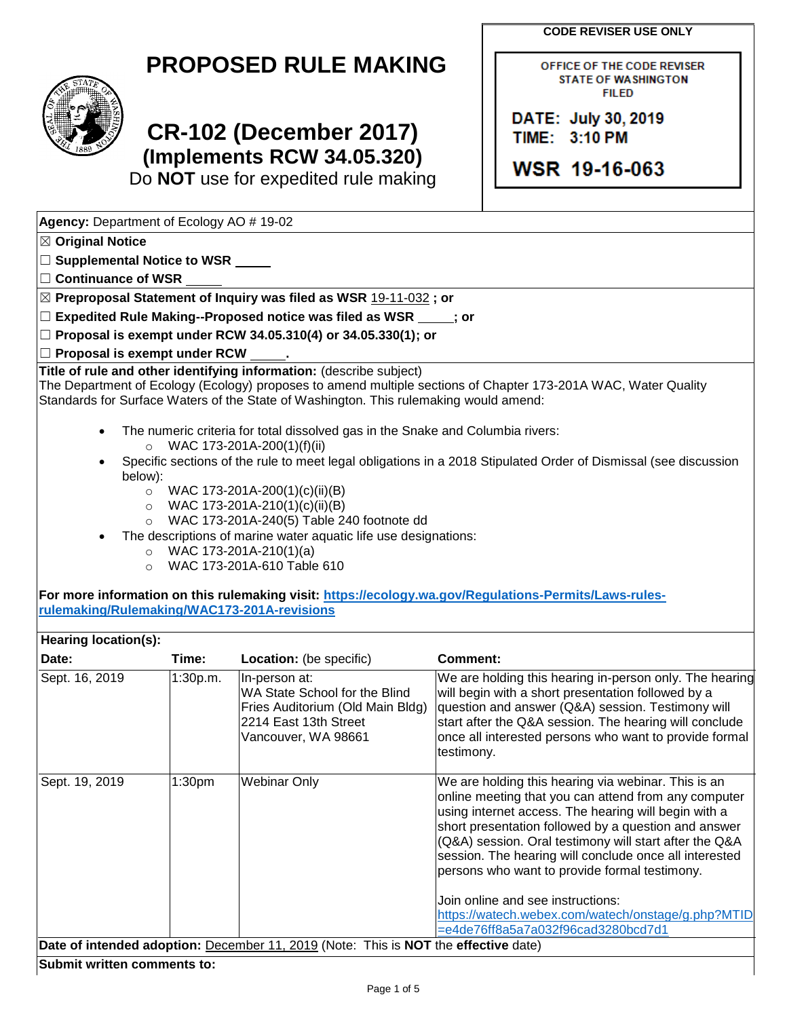**CODE REVISER USE ONLY**

OFFICE OF THE CODE REVISER **STATE OF WASHINGTON** 



# **CR-102 (December 2017) (Implements RCW 34.05.320)**

Do **NOT** use for expedited rule making

**FILED** DATE: July 30, 2019 TIME: 3:10 PM WSR 19-16-063

| Agency: Department of Ecology AO # 19-02 |  |  |  |
|------------------------------------------|--|--|--|
| $\mathbb{Z}$ Original Notice             |  |  |  |

☐ **Supplemental Notice to WSR**

☐ **Continuance of WSR**

☒ **Preproposal Statement of Inquiry was filed as WSR** 19-11-032 **; or**

☐ **Expedited Rule Making--Proposed notice was filed as WSR ; or**

☐ **Proposal is exempt under RCW 34.05.310(4) or 34.05.330(1); or**

☐ **Proposal is exempt under RCW .**

**Title of rule and other identifying information:** (describe subject)

The Department of Ecology (Ecology) proposes to amend multiple sections of Chapter 173-201A WAC, Water Quality Standards for Surface Waters of the State of Washington. This rulemaking would amend:

- The numeric criteria for total dissolved gas in the Snake and Columbia rivers: o WAC 173-201A-200(1)(f)(ii)
- Specific sections of the rule to meet legal obligations in a 2018 Stipulated Order of Dismissal (see discussion below):
	- $\circ$  WAC 173-201A-200(1)(c)(ii)(B)
	- $\circ$  WAC 173-201A-210(1)(c)(ii)(B)
	- o WAC 173-201A-240(5) Table 240 footnote dd
- The descriptions of marine water aquatic life use designations:
	- $\circ$  WAC 173-201A-210(1)(a)
	- o WAC 173-201A-610 Table 610

**For more information on this rulemaking visit: [https://ecology.wa.gov/Regulations-Permits/Laws-rules](https://ecology.wa.gov/Regulations-Permits/Laws-rules-rulemaking/Rulemaking/WAC173-201A-revisions)[rulemaking/Rulemaking/WAC173-201A-revisions](https://ecology.wa.gov/Regulations-Permits/Laws-rules-rulemaking/Rulemaking/WAC173-201A-revisions)**

| Hearing location(s):                                                                |                    |                                                                                                                                    |                                                                                                                                                                                                                                                                                                                                                                                                  |
|-------------------------------------------------------------------------------------|--------------------|------------------------------------------------------------------------------------------------------------------------------------|--------------------------------------------------------------------------------------------------------------------------------------------------------------------------------------------------------------------------------------------------------------------------------------------------------------------------------------------------------------------------------------------------|
| Date:                                                                               | Time:              | <b>Location:</b> (be specific)                                                                                                     | Comment:                                                                                                                                                                                                                                                                                                                                                                                         |
| Sept. 16, 2019                                                                      | 1:30p.m.           | In-person at:<br>WA State School for the Blind<br>Fries Auditorium (Old Main Bldg)<br>2214 East 13th Street<br>Vancouver, WA 98661 | We are holding this hearing in-person only. The hearing<br>will begin with a short presentation followed by a<br>question and answer (Q&A) session. Testimony will<br>start after the Q&A session. The hearing will conclude<br>once all interested persons who want to provide formal<br>testimony.                                                                                             |
| Sept. 19, 2019                                                                      | 1:30 <sub>pm</sub> | Webinar Only                                                                                                                       | We are holding this hearing via webinar. This is an<br>online meeting that you can attend from any computer<br>using internet access. The hearing will begin with a<br>short presentation followed by a question and answer<br>(Q&A) session. Oral testimony will start after the Q&A<br>session. The hearing will conclude once all interested<br>persons who want to provide formal testimony. |
|                                                                                     |                    |                                                                                                                                    | Join online and see instructions:                                                                                                                                                                                                                                                                                                                                                                |
|                                                                                     |                    |                                                                                                                                    | https://watech.webex.com/watech/onstage/g.php?MTID<br>=e4de76ff8a5a7a032f96cad3280bcd7d1                                                                                                                                                                                                                                                                                                         |
| Date of intended adoption: December 11, 2019 (Note: This is NOT the effective date) |                    |                                                                                                                                    |                                                                                                                                                                                                                                                                                                                                                                                                  |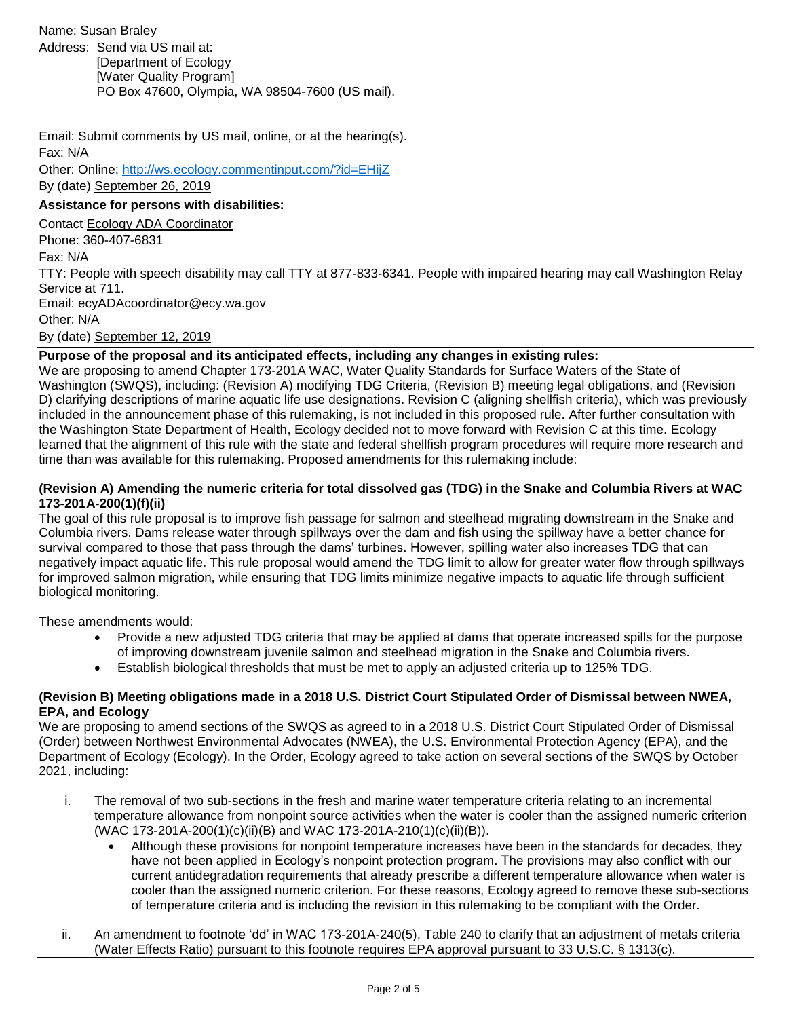# Name: Susan Braley

Address: Send via US mail at: [Department of Ecology [Water Quality Program] PO Box 47600, Olympia, WA 98504-7600 (US mail).

Email: Submit comments by US mail, online, or at the hearing(s). Fax: N/A

Other: Online: <http://ws.ecology.commentinput.com/?id=EHijZ> By (date) September 26, 2019

## **Assistance for persons with disabilities:**

Contact Ecology ADA Coordinator

Phone: 360-407-6831

Fax: N/A

TTY: People with speech disability may call TTY at 877-833-6341. People with impaired hearing may call Washington Relay Service at 711.

Email: ecyADAcoordinator@ecy.wa.gov

Other: N/A

By (date) September 12, 2019

### **Purpose of the proposal and its anticipated effects, including any changes in existing rules:**

We are proposing to amend Chapter 173-201A WAC, Water Quality Standards for Surface Waters of the State of Washington (SWQS), including: (Revision A) modifying TDG Criteria, (Revision B) meeting legal obligations, and (Revision D) clarifying descriptions of marine aquatic life use designations. Revision C (aligning shellfish criteria), which was previously included in the announcement phase of this rulemaking, is not included in this proposed rule. After further consultation with the Washington State Department of Health, Ecology decided not to move forward with Revision C at this time. Ecology learned that the alignment of this rule with the state and federal shellfish program procedures will require more research and time than was available for this rulemaking. Proposed amendments for this rulemaking include:

#### **(Revision A) Amending the numeric criteria for total dissolved gas (TDG) in the Snake and Columbia Rivers at WAC 173-201A-200(1)(f)(ii)**

The goal of this rule proposal is to improve fish passage for salmon and steelhead migrating downstream in the Snake and Columbia rivers. Dams release water through spillways over the dam and fish using the spillway have a better chance for survival compared to those that pass through the dams' turbines. However, spilling water also increases TDG that can negatively impact aquatic life. This rule proposal would amend the TDG limit to allow for greater water flow through spillways for improved salmon migration, while ensuring that TDG limits minimize negative impacts to aquatic life through sufficient biological monitoring.

These amendments would:

- Provide a new adjusted TDG criteria that may be applied at dams that operate increased spills for the purpose of improving downstream juvenile salmon and steelhead migration in the Snake and Columbia rivers.
- Establish biological thresholds that must be met to apply an adjusted criteria up to 125% TDG.

#### **(Revision B) Meeting obligations made in a 2018 U.S. District Court Stipulated Order of Dismissal between NWEA, EPA, and Ecology**

We are proposing to amend sections of the SWQS as agreed to in a 2018 U.S. District Court Stipulated Order of Dismissal (Order) between Northwest Environmental Advocates (NWEA), the U.S. Environmental Protection Agency (EPA), and the Department of Ecology (Ecology). In the Order, Ecology agreed to take action on several sections of the SWQS by October 2021, including:

- i. The removal of two sub-sections in the fresh and marine water temperature criteria relating to an incremental temperature allowance from nonpoint source activities when the water is cooler than the assigned numeric criterion (WAC 173-201A-200(1)(c)(ii)(B) and WAC 173-201A-210(1)(c)(ii)(B)).
	- Although these provisions for nonpoint temperature increases have been in the standards for decades, they have not been applied in Ecology's nonpoint protection program. The provisions may also conflict with our current antidegradation requirements that already prescribe a different temperature allowance when water is cooler than the assigned numeric criterion. For these reasons, Ecology agreed to remove these sub-sections of temperature criteria and is including the revision in this rulemaking to be compliant with the Order.
- ii. An amendment to footnote 'dd' in WAC 173-201A-240(5), Table 240 to clarify that an adjustment of metals criteria (Water Effects Ratio) pursuant to this footnote requires EPA approval pursuant to 33 U.S.C. § 1313(c).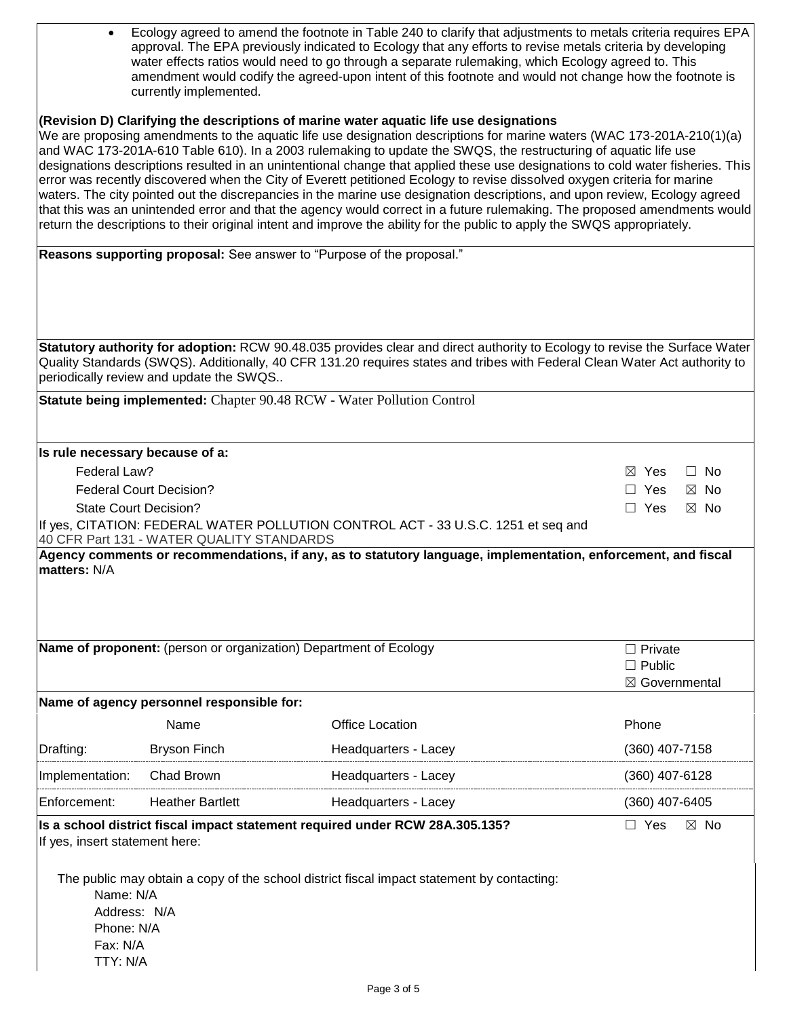| Ecology agreed to amend the footnote in Table 240 to clarify that adjustments to metals criteria requires EPA |
|---------------------------------------------------------------------------------------------------------------|
| approval. The EPA previously indicated to Ecology that any efforts to revise metals criteria by developing    |
| water effects ratios would need to go through a separate rulemaking, which Ecology agreed to. This            |
| amendment would codify the agreed-upon intent of this footnote and would not change how the footnote is       |
| currently implemented.                                                                                        |

#### **(Revision D) Clarifying the descriptions of marine water aquatic life use designations**

We are proposing amendments to the aquatic life use designation descriptions for marine waters (WAC 173-201A-210(1)(a) and WAC 173-201A-610 Table 610). In a 2003 rulemaking to update the SWQS, the restructuring of aquatic life use designations descriptions resulted in an unintentional change that applied these use designations to cold water fisheries. This error was recently discovered when the City of Everett petitioned Ecology to revise dissolved oxygen criteria for marine waters. The city pointed out the discrepancies in the marine use designation descriptions, and upon review, Ecology agreed that this was an unintended error and that the agency would correct in a future rulemaking. The proposed amendments would return the descriptions to their original intent and improve the ability for the public to apply the SWQS appropriately.

| Reasons supporting proposal: See answer to "Purpose of the proposal." |                                           |                                                                                                                                                                                                                                                          |                              |  |
|-----------------------------------------------------------------------|-------------------------------------------|----------------------------------------------------------------------------------------------------------------------------------------------------------------------------------------------------------------------------------------------------------|------------------------------|--|
|                                                                       |                                           |                                                                                                                                                                                                                                                          |                              |  |
|                                                                       |                                           |                                                                                                                                                                                                                                                          |                              |  |
|                                                                       |                                           |                                                                                                                                                                                                                                                          |                              |  |
|                                                                       | periodically review and update the SWQS   | Statutory authority for adoption: RCW 90.48.035 provides clear and direct authority to Ecology to revise the Surface Water<br>Quality Standards (SWQS). Additionally, 40 CFR 131.20 requires states and tribes with Federal Clean Water Act authority to |                              |  |
|                                                                       |                                           | Statute being implemented: Chapter 90.48 RCW - Water Pollution Control                                                                                                                                                                                   |                              |  |
| Is rule necessary because of a:                                       |                                           |                                                                                                                                                                                                                                                          |                              |  |
| Federal Law?                                                          |                                           |                                                                                                                                                                                                                                                          | $\boxtimes$ Yes<br>$\Box$ No |  |
|                                                                       | <b>Federal Court Decision?</b>            |                                                                                                                                                                                                                                                          | $\Box$ Yes<br>$\boxtimes$ No |  |
|                                                                       | <b>State Court Decision?</b>              |                                                                                                                                                                                                                                                          | $\Box$ Yes<br>$\boxtimes$ No |  |
|                                                                       | 40 CFR Part 131 - WATER QUALITY STANDARDS | If yes, CITATION: FEDERAL WATER POLLUTION CONTROL ACT - 33 U.S.C. 1251 et seq and                                                                                                                                                                        |                              |  |
|                                                                       |                                           |                                                                                                                                                                                                                                                          |                              |  |
|                                                                       |                                           | Name of proponent: (person or organization) Department of Ecology                                                                                                                                                                                        | $\Box$ Private               |  |
|                                                                       |                                           |                                                                                                                                                                                                                                                          | $\Box$ Public                |  |
|                                                                       | Name of agency personnel responsible for: |                                                                                                                                                                                                                                                          | ⊠ Governmental               |  |
|                                                                       | Name                                      | <b>Office Location</b>                                                                                                                                                                                                                                   | Phone                        |  |
| Drafting:                                                             | <b>Bryson Finch</b>                       | Headquarters - Lacey                                                                                                                                                                                                                                     | (360) 407-7158               |  |
|                                                                       |                                           |                                                                                                                                                                                                                                                          |                              |  |
| Implementation:                                                       | Chad Brown                                | Headquarters - Lacey                                                                                                                                                                                                                                     | (360) 407-6128               |  |
| Enforcement:                                                          | <b>Heather Bartlett</b>                   | Headquarters - Lacey                                                                                                                                                                                                                                     | (360) 407-6405               |  |
| If yes, insert statement here:                                        |                                           | Is a school district fiscal impact statement required under RCW 28A.305.135?                                                                                                                                                                             | $\Box$ Yes<br>$\boxtimes$ No |  |
| Name: N/A<br>Address: N/A<br>Phone: N/A                               |                                           | The public may obtain a copy of the school district fiscal impact statement by contacting:                                                                                                                                                               |                              |  |
| Fax: N/A                                                              |                                           |                                                                                                                                                                                                                                                          |                              |  |
| TTY: N/A                                                              |                                           |                                                                                                                                                                                                                                                          |                              |  |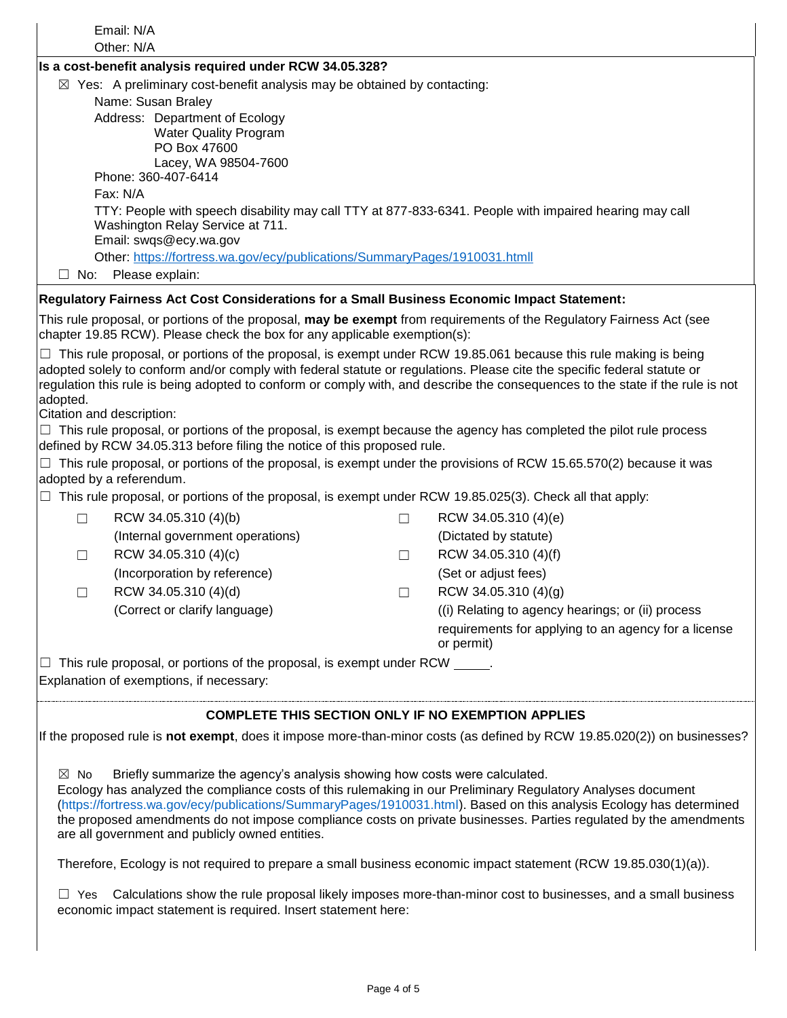|                                                                                                                                                                                                                                                                                             | Email: N/A                                                                                                                                                                                        |        |                                                                                                                                |  |
|---------------------------------------------------------------------------------------------------------------------------------------------------------------------------------------------------------------------------------------------------------------------------------------------|---------------------------------------------------------------------------------------------------------------------------------------------------------------------------------------------------|--------|--------------------------------------------------------------------------------------------------------------------------------|--|
|                                                                                                                                                                                                                                                                                             | Other: N/A                                                                                                                                                                                        |        |                                                                                                                                |  |
|                                                                                                                                                                                                                                                                                             | Is a cost-benefit analysis required under RCW 34.05.328?                                                                                                                                          |        |                                                                                                                                |  |
|                                                                                                                                                                                                                                                                                             | $\boxtimes$ Yes: A preliminary cost-benefit analysis may be obtained by contacting:<br>Name: Susan Braley                                                                                         |        |                                                                                                                                |  |
|                                                                                                                                                                                                                                                                                             | Address: Department of Ecology                                                                                                                                                                    |        |                                                                                                                                |  |
|                                                                                                                                                                                                                                                                                             | <b>Water Quality Program</b>                                                                                                                                                                      |        |                                                                                                                                |  |
|                                                                                                                                                                                                                                                                                             | PO Box 47600                                                                                                                                                                                      |        |                                                                                                                                |  |
|                                                                                                                                                                                                                                                                                             | Lacey, WA 98504-7600                                                                                                                                                                              |        |                                                                                                                                |  |
|                                                                                                                                                                                                                                                                                             | Phone: 360-407-6414                                                                                                                                                                               |        |                                                                                                                                |  |
|                                                                                                                                                                                                                                                                                             | Fax: N/A                                                                                                                                                                                          |        |                                                                                                                                |  |
|                                                                                                                                                                                                                                                                                             | TTY: People with speech disability may call TTY at 877-833-6341. People with impaired hearing may call<br>Washington Relay Service at 711.                                                        |        |                                                                                                                                |  |
|                                                                                                                                                                                                                                                                                             | Email: swqs@ecy.wa.gov                                                                                                                                                                            |        |                                                                                                                                |  |
|                                                                                                                                                                                                                                                                                             | Other: https://fortress.wa.gov/ecy/publications/SummaryPages/1910031.htmll                                                                                                                        |        |                                                                                                                                |  |
| $\Box$ No:                                                                                                                                                                                                                                                                                  | Please explain:                                                                                                                                                                                   |        |                                                                                                                                |  |
|                                                                                                                                                                                                                                                                                             | Regulatory Fairness Act Cost Considerations for a Small Business Economic Impact Statement:                                                                                                       |        |                                                                                                                                |  |
|                                                                                                                                                                                                                                                                                             | This rule proposal, or portions of the proposal, may be exempt from requirements of the Regulatory Fairness Act (see<br>chapter 19.85 RCW). Please check the box for any applicable exemption(s): |        |                                                                                                                                |  |
|                                                                                                                                                                                                                                                                                             | $\Box$ This rule proposal, or portions of the proposal, is exempt under RCW 19.85.061 because this rule making is being                                                                           |        |                                                                                                                                |  |
|                                                                                                                                                                                                                                                                                             | adopted solely to conform and/or comply with federal statute or regulations. Please cite the specific federal statute or                                                                          |        |                                                                                                                                |  |
| adopted.                                                                                                                                                                                                                                                                                    |                                                                                                                                                                                                   |        | regulation this rule is being adopted to conform or comply with, and describe the consequences to the state if the rule is not |  |
|                                                                                                                                                                                                                                                                                             | Citation and description:                                                                                                                                                                         |        |                                                                                                                                |  |
|                                                                                                                                                                                                                                                                                             | $\Box$ This rule proposal, or portions of the proposal, is exempt because the agency has completed the pilot rule process                                                                         |        |                                                                                                                                |  |
|                                                                                                                                                                                                                                                                                             | defined by RCW 34.05.313 before filing the notice of this proposed rule.                                                                                                                          |        |                                                                                                                                |  |
|                                                                                                                                                                                                                                                                                             | $\Box$ This rule proposal, or portions of the proposal, is exempt under the provisions of RCW 15.65.570(2) because it was<br>adopted by a referendum.                                             |        |                                                                                                                                |  |
| $\Box$                                                                                                                                                                                                                                                                                      | This rule proposal, or portions of the proposal, is exempt under RCW 19.85.025(3). Check all that apply:                                                                                          |        |                                                                                                                                |  |
| $\Box$                                                                                                                                                                                                                                                                                      | RCW 34.05.310 (4)(b)                                                                                                                                                                              | $\Box$ | RCW 34.05.310 (4)(e)                                                                                                           |  |
|                                                                                                                                                                                                                                                                                             | (Internal government operations)                                                                                                                                                                  |        | (Dictated by statute)                                                                                                          |  |
| $\Box$                                                                                                                                                                                                                                                                                      | RCW 34.05.310 (4)(c)                                                                                                                                                                              | $\Box$ | RCW 34.05.310 (4)(f)                                                                                                           |  |
|                                                                                                                                                                                                                                                                                             | (Incorporation by reference)                                                                                                                                                                      |        | (Set or adjust fees)                                                                                                           |  |
|                                                                                                                                                                                                                                                                                             |                                                                                                                                                                                                   |        |                                                                                                                                |  |
|                                                                                                                                                                                                                                                                                             | RCW 34.05.310 (4)(d)                                                                                                                                                                              | $\Box$ | RCW 34.05.310 (4)(g)                                                                                                           |  |
|                                                                                                                                                                                                                                                                                             | (Correct or clarify language)                                                                                                                                                                     |        | (i) Relating to agency hearings; or (ii) process                                                                               |  |
|                                                                                                                                                                                                                                                                                             |                                                                                                                                                                                                   |        | requirements for applying to an agency for a license<br>or permit)                                                             |  |
|                                                                                                                                                                                                                                                                                             | This rule proposal, or portions of the proposal, is exempt under RCW ______.                                                                                                                      |        |                                                                                                                                |  |
| $\Box$                                                                                                                                                                                                                                                                                      | Explanation of exemptions, if necessary:                                                                                                                                                          |        |                                                                                                                                |  |
|                                                                                                                                                                                                                                                                                             |                                                                                                                                                                                                   |        |                                                                                                                                |  |
|                                                                                                                                                                                                                                                                                             | <b>COMPLETE THIS SECTION ONLY IF NO EXEMPTION APPLIES</b>                                                                                                                                         |        |                                                                                                                                |  |
|                                                                                                                                                                                                                                                                                             |                                                                                                                                                                                                   |        | If the proposed rule is not exempt, does it impose more-than-minor costs (as defined by RCW 19.85.020(2)) on businesses?       |  |
|                                                                                                                                                                                                                                                                                             |                                                                                                                                                                                                   |        |                                                                                                                                |  |
| $\boxtimes$ No                                                                                                                                                                                                                                                                              | Briefly summarize the agency's analysis showing how costs were calculated.                                                                                                                        |        |                                                                                                                                |  |
| Ecology has analyzed the compliance costs of this rulemaking in our Preliminary Regulatory Analyses document                                                                                                                                                                                |                                                                                                                                                                                                   |        |                                                                                                                                |  |
| (https://fortress.wa.gov/ecy/publications/SummaryPages/1910031.html). Based on this analysis Ecology has determined<br>the proposed amendments do not impose compliance costs on private businesses. Parties regulated by the amendments<br>are all government and publicly owned entities. |                                                                                                                                                                                                   |        |                                                                                                                                |  |
| Therefore, Ecology is not required to prepare a small business economic impact statement (RCW 19.85.030(1)(a)).                                                                                                                                                                             |                                                                                                                                                                                                   |        |                                                                                                                                |  |
| $\Box$ Yes Calculations show the rule proposal likely imposes more-than-minor cost to businesses, and a small business<br>economic impact statement is required. Insert statement here:                                                                                                     |                                                                                                                                                                                                   |        |                                                                                                                                |  |
|                                                                                                                                                                                                                                                                                             |                                                                                                                                                                                                   |        |                                                                                                                                |  |